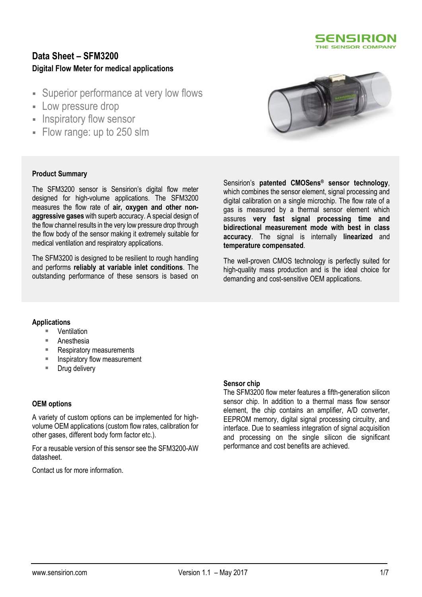

## **Data Sheet – SFM3200 Digital Flow Meter for medical applications**

- **Superior performance at very low flows**
- Low pressure drop
- **Inspiratory flow sensor**
- Flow range: up to 250 slm



### **Product Summary**

The SFM3200 sensor is Sensirion's digital flow meter designed for high-volume applications. The SFM3200 measures the flow rate of **air, oxygen and other nonaggressive gases** with superb accuracy. A special design of the flow channel results in the very low pressure drop through the flow body of the sensor making it extremely suitable for medical ventilation and respiratory applications.

The SFM3200 is designed to be resilient to rough handling and performs **reliably at variable inlet conditions**. The outstanding performance of these sensors is based on Sensirion's **patented CMOSens® sensor technology**, which combines the sensor element, signal processing and digital calibration on a single microchip. The flow rate of a gas is measured by a thermal sensor element which assures **very fast signal processing time and bidirectional measurement mode with best in class accuracy**. The signal is internally **linearized** and **temperature compensated**.

The well-proven CMOS technology is perfectly suited for high-quality mass production and is the ideal choice for demanding and cost-sensitive OEM applications.

### **Applications**

- Ventilation
- Anesthesia
- Respiratory measurements
- Inspiratory flow measurement
- Drug delivery

### **OEM options**

A variety of custom options can be implemented for highvolume OEM applications (custom flow rates, calibration for other gases, different body form factor etc.).

For a reusable version of this sensor see the SFM3200-AW datasheet.

Contact us for more information.

### **Sensor chip**

The SFM3200 flow meter features a fifth-generation silicon sensor chip. In addition to a thermal mass flow sensor element, the chip contains an amplifier, A/D converter, EEPROM memory, digital signal processing circuitry, and interface. Due to seamless integration of signal acquisition and processing on the single silicon die significant performance and cost benefits are achieved.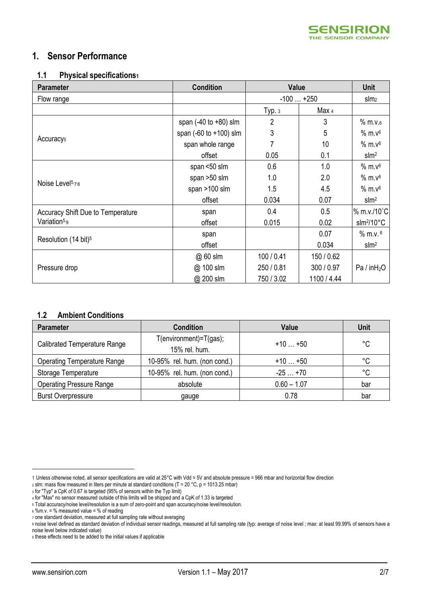<span id="page-1-1"></span><span id="page-1-0"></span>

## **1. Sensor Performance**

### **1.1 Physical specifications<sup>1</sup>**

<span id="page-1-2"></span>

| <b>Parameter</b>                  | <b>Condition</b>                 | Value      |             | <b>Unit</b>                       |
|-----------------------------------|----------------------------------|------------|-------------|-----------------------------------|
| Flow range                        |                                  | $-100+250$ |             | slm <sub>2</sub>                  |
|                                   |                                  | Typ.3      | Max 4       |                                   |
|                                   | span $(-40 \text{ to } +80)$ slm | 2          | 3           | $%$ m.v. $6$                      |
|                                   | span (-60 to +100) slm           | 3          | 5           | $%$ m. $v6$                       |
| Accuracy <sub>5</sub>             | span whole range                 | 7          | 10          | $%$ m. $v6$                       |
|                                   | offset                           | 0.05       | 0.1         | slm <sup>2</sup>                  |
|                                   | span <50 slm                     | 0.6        | 1.0         | $%$ m. $v6$                       |
|                                   | span >50 slm                     | 1.0        | 2.0         | $%$ m. $v6$                       |
| Noise Level <sup>5,7,8</sup>      | span >100 slm                    | 1.5        | 4.5         | $%$ m. $v6$                       |
|                                   | offset                           | 0.034      | 0.07        | slm <sup>2</sup>                  |
| Accuracy Shift Due to Temperature | span                             | 0.4        | 0.5         | % m.v./10°C                       |
| Variation <sup>5,9</sup>          | offset                           | 0.015      | 0.02        | $\text{slm}^2/10^{\circ}\text{C}$ |
|                                   | span                             |            | 0.07        | $%$ m.v. $6$                      |
| Resolution (14 bit) <sup>5</sup>  | offset                           |            | 0.034       | slm <sup>2</sup>                  |
|                                   | @ 60 slm                         | 100 / 0.41 | 150 / 0.62  |                                   |
| Pressure drop                     | @ 100 slm                        | 250 / 0.81 | 300 / 0.97  | Pa / in $H_2O$                    |
|                                   | @ 200 slm                        | 750 / 3.02 | 1100 / 4.44 |                                   |

### **1.2 Ambient Conditions**

| <b>Parameter</b>                   | <b>Condition</b>                               | Value         | <b>Unit</b> |
|------------------------------------|------------------------------------------------|---------------|-------------|
| Calibrated Temperature Range       | $T$ (environment)= $T$ (gas);<br>15% rel. hum. | $+10+50$      | °C          |
| <b>Operating Temperature Range</b> | 10-95% rel. hum. (non cond.)                   | $+10+50$      | °C          |
| Storage Temperature                | 10-95% rel. hum. (non cond.)                   | $-25+70$      | °C          |
| <b>Operating Pressure Range</b>    | absolute                                       | $0.60 - 1.07$ | bar         |
| <b>Burst Overpressure</b>          | gauge                                          | 0.78          | bar         |

.<br>-

<sup>1</sup> Unless otherwise noted, all sensor specifications are valid at 25°C with Vdd = 5V and absolute pressure = 966 mbar and horizontal flow direction

<sup>2</sup> slm: mass flow measured in liters per minute at standard conditions (T = 20 °C, p = 1013.25 mbar)

<sup>3</sup> for "Typ" a CpK of 0.67 is targeted (95% of sensors within the Typ limit)

<sup>4</sup> for "Max" no sensor measured outside of this limits will be shipped and a CpK of 1.33 is targeted

<sup>5</sup> Total accuracy/noise level/resolution is a sum of zero-point and span accuracy/noise level/resolution.

 $6$  %m.v. = % measured value = % of reading

<sup>7</sup> one standard deviation, measured at full sampling rate without averaging

<sup>8</sup> noise level defined as standard deviation of individual sensor readings, measured at full sampling rate (typ: average of noise level ; max: at least 99.99% of sensors have a noise level below indicated value)

<sup>9</sup> these effects need to be added to the initial values if applicable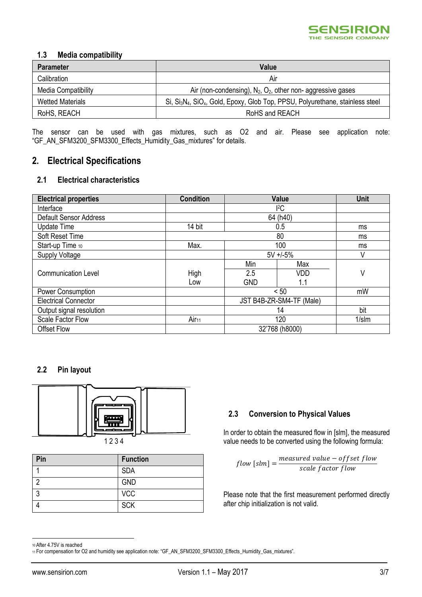

### **1.3 Media compatibility**

| <b>Parameter</b>        | Value                                                                                                              |
|-------------------------|--------------------------------------------------------------------------------------------------------------------|
| Calibration             | Air                                                                                                                |
| Media Compatibility     | Air (non-condensing), $N_2$ , $O_2$ , other non-aggressive gases                                                   |
| <b>Wetted Materials</b> | Si, Si <sub>3</sub> N <sub>4</sub> , SiO <sub>x</sub> , Gold, Epoxy, Glob Top, PPSU, Polyurethane, stainless steel |
| RoHS, REACH             | RoHS and REACH                                                                                                     |

The sensor can be used with gas mixtures, such as O2 and air. Please see application note: "GF\_AN\_SFM3200\_SFM3300\_Effects\_Humidity\_Gas\_mixtures" for details.

## **2. Electrical Specifications**

### **2.1 Electrical characteristics**

| <b>Electrical properties</b>  | <b>Condition</b>  | <b>Value</b>             |            | <b>Unit</b> |
|-------------------------------|-------------------|--------------------------|------------|-------------|
| Interface                     |                   | ${}^{12}C$               |            |             |
| <b>Default Sensor Address</b> |                   | 64 (h40)                 |            |             |
| <b>Update Time</b>            | 14 bit            | 0.5                      |            | ms          |
| Soft Reset Time               |                   | 80                       |            | ms          |
| Start-up Time 10              | Max.              | 100                      |            | ms          |
| Supply Voltage                |                   | $5V + -5%$               |            | V           |
|                               |                   | Min                      | Max        |             |
| <b>Communication Level</b>    | High              | 2.5                      | <b>VDD</b> | V           |
|                               | Low               | <b>GND</b>               | 1.1        |             |
| <b>Power Consumption</b>      |                   | < 50                     |            | mW          |
| <b>Electrical Connector</b>   |                   | JST B4B-ZR-SM4-TF (Male) |            |             |
| Output signal resolution      |                   | 14                       |            | bit         |
| <b>Scale Factor Flow</b>      | Air <sub>11</sub> | 120                      |            | $1/s$ Im    |
| <b>Offset Flow</b>            |                   | 32'768 (h8000)           |            |             |

### **2.2 Pin layout**



| Pin | <b>Function</b> |
|-----|-----------------|
|     | <b>SDA</b>      |
| ◠   | <b>GND</b>      |
| c   | <b>VCC</b>      |
|     | <b>SCK</b>      |

### **2.3 Conversion to Physical Values**

In order to obtain the measured flow in [slm], the measured value needs to be converted using the following formula:

 $[flow [slm] = \frac{measured \ value - offset \ flow}{\int [Smm] }$ scale factor flow

Please note that the first measurement performed directly after chip initialization is not valid.

.<br>-

<sup>10</sup> After 4.75V is reached

<sup>11</sup> For compensation for O2 and humidity see application note: "GF\_AN\_SFM3200\_SFM3300\_Effects\_Humidity\_Gas\_mixtures".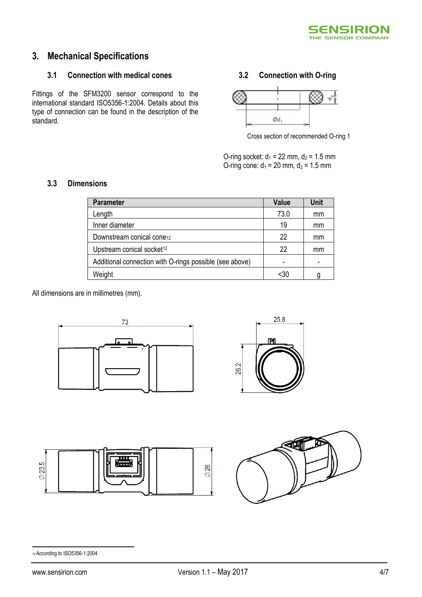

# **3. Mechanical Specifications**

### **3.1 Connection with medical cones**

Fittings of the SFM3200 sensor correspond to the international standard ISO5356-1:2004. Details about this type of connection can be found in the description of the standard.

### **3.2 Connection with O-ring**



Cross section of recommended O-ring 1

O-ring socket:  $d_1 = 22$  mm,  $d_2 = 1.5$  mm O-ring cone:  $d_1 = 20$  mm,  $d_2 = 1.5$  mm

### **3.3 Dimensions**

<span id="page-3-0"></span>

| <b>Parameter</b>                                        | <b>Value</b> | <b>Unit</b> |
|---------------------------------------------------------|--------------|-------------|
| Length                                                  | 73.0         | mm          |
| Inner diameter                                          | 19           | mm          |
| Downstream conical cone12                               | 22           | mm          |
| Upstream conical socket <sup>12</sup>                   | 22           | mm          |
| Additional connection with O-rings possible (see above) |              |             |
| Weight                                                  | <30          | q           |

All dimensions are in millimetres (mm).









#### <u>.</u> <sup>12</sup> According to ISO5356-1:2004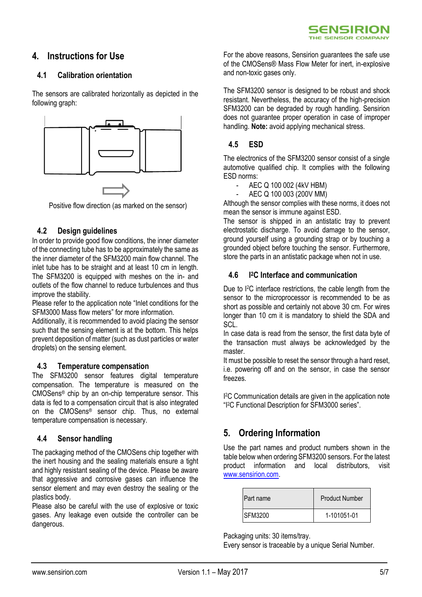## **4. Instructions for Use**

### **4.1 Calibration orientation**

The sensors are calibrated horizontally as depicted in the following graph:



Positive flow direction (as marked on the sensor)

### **4.2 Design guidelines**

In order to provide good flow conditions, the inner diameter of the connecting tube has to be approximately the same as the inner diameter of the SFM3200 main flow channel. The inlet tube has to be straight and at least 10 cm in length. The SFM3200 is equipped with meshes on the in- and outlets of the flow channel to reduce turbulences and thus improve the stability.

Please refer to the application note "Inlet conditions for the SFM3000 Mass flow meters" for more information.

Additionally, it is recommended to avoid placing the sensor such that the sensing element is at the bottom. This helps prevent deposition of matter (such as dust particles or water droplets) on the sensing element.

### **4.3 Temperature compensation**

The SFM3200 sensor features digital temperature compensation. The temperature is measured on the CMOSens® chip by an on-chip temperature sensor. This data is fed to a compensation circuit that is also integrated on the CMOSens® sensor chip. Thus, no external temperature compensation is necessary.

### **4.4 Sensor handling**

The packaging method of the CMOSens chip together with the inert housing and the sealing materials ensure a tight and highly resistant sealing of the device. Please be aware that aggressive and corrosive gases can influence the sensor element and may even destroy the sealing or the plastics body.

Please also be careful with the use of explosive or toxic gases. Any leakage even outside the controller can be dangerous.

For the above reasons, Sensirion guarantees the safe use of the CMOSens® Mass Flow Meter for inert, in-explosive and non-toxic gases only.

The SFM3200 sensor is designed to be robust and shock resistant. Nevertheless, the accuracy of the high-precision SFM3200 can be degraded by rough handling. Sensirion does not guarantee proper operation in case of improper handling. **Note:** avoid applying mechanical stress.

### **4.5 ESD**

The electronics of the SFM3200 sensor consist of a single automotive qualified chip. It complies with the following ESD norms:

- AEC Q 100 002 (4kV HBM)
- AEC Q 100 003 (200V MM)

Although the sensor complies with these norms, it does not mean the sensor is immune against ESD.

The sensor is shipped in an antistatic tray to prevent electrostatic discharge. To avoid damage to the sensor, ground yourself using a grounding strap or by touching a grounded object before touching the sensor. Furthermore, store the parts in an antistatic package when not in use.

#### **4.6 I <sup>2</sup>C Interface and communication**

Due to I<sup>2</sup>C interface restrictions, the cable length from the sensor to the microprocessor is recommended to be as short as possible and certainly not above 30 cm. For wires longer than 10 cm it is mandatory to shield the SDA and SCL.

In case data is read from the sensor, the first data byte of the transaction must always be acknowledged by the master.

It must be possible to reset the sensor through a hard reset, i.e. powering off and on the sensor, in case the sensor freezes.

I <sup>2</sup>C Communication details are given in the application note "I <sup>2</sup>C Functional Description for SFM3000 series".

## **5. Ordering Information**

Use the part names and product numbers shown in the table below when ordering SFM3200 sensors. For the latest product information and local distributors, visit [www.sensirion.com.](http://www.sensirion.com/)

| <b>Part name</b> | <b>Product Number</b> |
|------------------|-----------------------|
| <b>ISFM3200</b>  | 1-101051-01           |

Packaging units: 30 items/tray.

Every sensor is traceable by a unique Serial Number.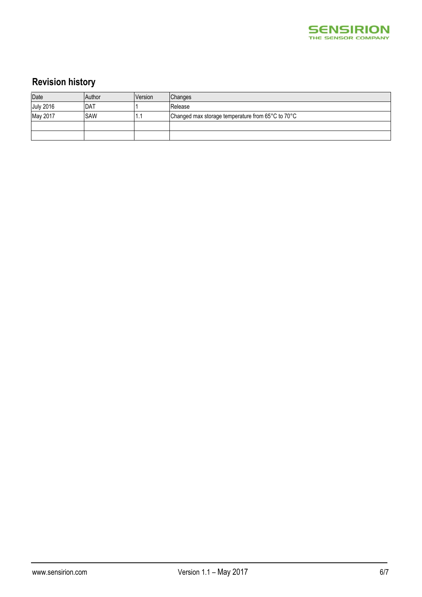

# **Revision history**

| Date             | Author      | Version | Changes                                           |
|------------------|-------------|---------|---------------------------------------------------|
| <b>July 2016</b> | <b>IDAT</b> |         | Release                                           |
| May 2017         | <b>SAW</b>  | ъ.      | Changed max storage temperature from 65°C to 70°C |
|                  |             |         |                                                   |
|                  |             |         |                                                   |